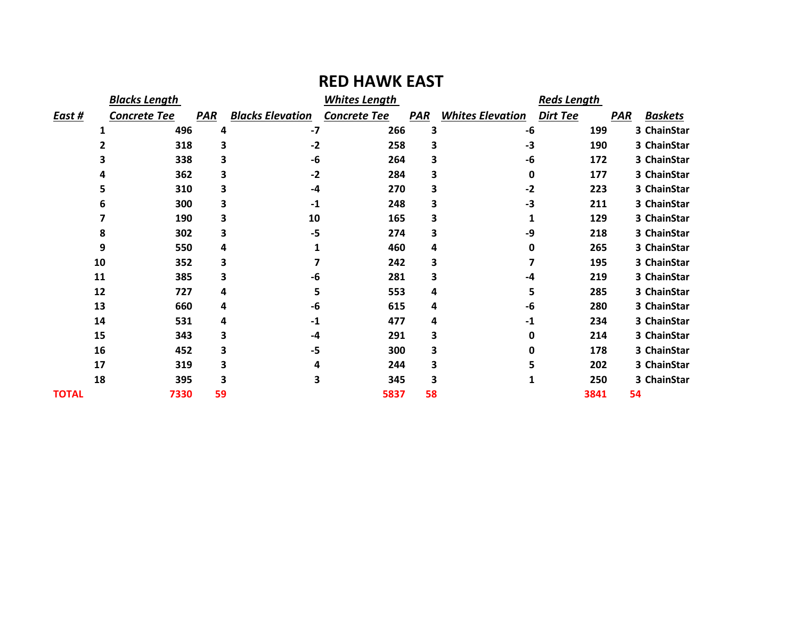|               | <b>Blacks Length</b> |            |                         | <b>Whites Length</b> |            |                         | <b>Reds Length</b> |            |                |
|---------------|----------------------|------------|-------------------------|----------------------|------------|-------------------------|--------------------|------------|----------------|
| <u>East #</u> | Concrete Tee         | <b>PAR</b> | <b>Blacks Elevation</b> | <b>Concrete Tee</b>  | <b>PAR</b> | <b>Whites Elevation</b> | <b>Dirt Tee</b>    | <b>PAR</b> | <b>Baskets</b> |
|               | 496                  | 4          | $-7$                    | 266                  | 3          | -6                      | 199                |            | 3 ChainStar    |
|               | 318                  | 3          | $-2$                    | 258                  | 3          | -3                      | 190                |            | 3 ChainStar    |
|               | 338                  | 3          | -6                      | 264                  | 3          | -6                      | 172                |            | 3 ChainStar    |
|               | 362                  | 3          | $-2$                    | 284                  | 3          | 0                       | 177                |            | 3 ChainStar    |
|               | 310                  | 3          | -4                      | 270                  | 3          | $-2$                    | 223                |            | 3 ChainStar    |
|               | 300<br>6             | 3          | $-1$                    | 248                  | 3          | $-3$                    | 211                |            | 3 ChainStar    |
|               | 190                  | 3          | 10                      | 165                  | 3          |                         | 129                |            | 3 ChainStar    |
|               | 302<br>8             | 3          | $-5$                    | 274                  | 3          | -9                      | 218                |            | 3 ChainStar    |
|               | 9<br>550             | 4          |                         | 460                  | 4          | 0                       | 265                |            | 3 ChainStar    |
| 10            | 352                  | 3          |                         | 242                  | 3          |                         | 195                |            | 3 ChainStar    |
| 11            | 385                  | 3          | -6                      | 281                  | 3          | -4                      | 219                |            | 3 ChainStar    |
| 12            | 727                  | 4          | 5                       | 553                  | 4          | 5                       | 285                |            | 3 ChainStar    |
| 13            | 660                  | 4          | -6                      | 615                  | 4          | -6                      | 280                |            | 3 ChainStar    |
| 14            | 531                  | 4          | $-1$                    | 477                  | 4          | $-1$                    | 234                |            | 3 ChainStar    |
| 15            | 343                  | 3          | -4                      | 291                  | 3          | 0                       | 214                |            | 3 ChainStar    |
| 16            | 452                  | 3          | -5                      | 300                  | 3          | 0                       | 178                |            | 3 ChainStar    |
| 17            | 319                  | 3          | 4                       | 244                  | 3          | 5                       | 202                |            | 3 ChainStar    |
| 18            | 395                  | 3          | 3                       | 345                  | 3          |                         | 250                |            | 3 ChainStar    |
| <b>TOTAL</b>  | 7330                 | 59         |                         | 5837                 | 58         |                         | 3841               | 54         |                |

## **RED HAWK EAST**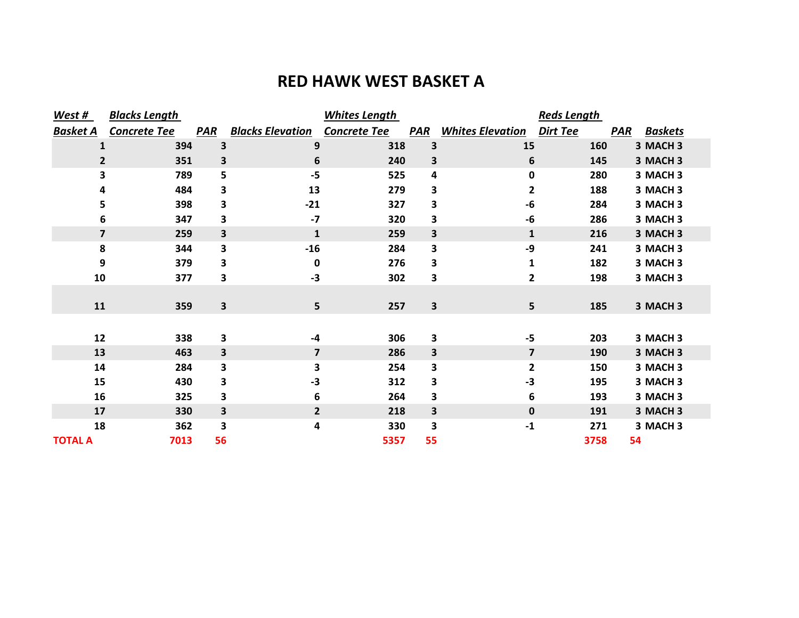## **RED HAWK WEST BASKET A**

| West #                  | <b>Blacks Length</b> |            | <b>Whites Length</b>    |                     |                         | <b>Reds Length</b>      |          |                              |
|-------------------------|----------------------|------------|-------------------------|---------------------|-------------------------|-------------------------|----------|------------------------------|
| <b>Basket A</b>         | Concrete Tee         | <b>PAR</b> | <b>Blacks Elevation</b> | <b>Concrete Tee</b> | <b>PAR</b>              | <b>Whites Elevation</b> | Dirt Tee | <b>PAR</b><br><b>Baskets</b> |
| 1                       | 394                  | 3          | 9                       | 318                 | 3                       | 15                      | 160      | 3 MACH 3                     |
| 2                       | 351                  | 3          | 6                       | 240                 | 3                       | 6                       | 145      | 3 MACH 3                     |
| 3                       | 789                  | 5          | $-5$                    | 525                 | 4                       | 0                       | 280      | 3 MACH <sub>3</sub>          |
| 4                       | 484                  | 3          | 13                      | 279                 | 3                       | 2                       | 188      | 3 MACH 3                     |
| 5                       | 398                  | 3          | $-21$                   | 327                 | 3                       | -6                      | 284      | 3 MACH 3                     |
| 6                       | 347                  | 3          | $-7$                    | 320                 | 3                       | -6                      | 286      | 3 MACH <sub>3</sub>          |
| $\overline{\mathbf{z}}$ | 259                  | 3          | $\mathbf 1$             | 259                 | 3                       | $\mathbf{1}$            | 216      | 3 MACH 3                     |
| 8                       | 344                  | 3          | $-16$                   | 284                 | 3                       | -9                      | 241      | 3 MACH <sub>3</sub>          |
| 9                       | 379                  | 3          | 0                       | 276                 | 3                       | 1                       | 182      | 3 MACH 3                     |
| 10                      | 377                  | 3          | $-3$                    | 302                 | 3                       | $\mathbf{2}$            | 198      | 3 MACH 3                     |
|                         |                      |            |                         |                     |                         |                         |          |                              |
| 11                      | 359                  | 3          | 5                       | 257                 | $\overline{\mathbf{3}}$ | 5                       | 185      | 3 MACH 3                     |
|                         |                      |            |                         |                     |                         |                         |          |                              |
| 12                      | 338                  | 3          | -4                      | 306                 | $\overline{\mathbf{3}}$ | $-5$                    | 203      | 3 MACH <sub>3</sub>          |
| 13                      | 463                  | 3          | $\overline{\mathbf{z}}$ | 286                 | 3                       | $\overline{\mathbf{z}}$ | 190      | 3 MACH 3                     |
| 14                      | 284                  | 3          | 3                       | 254                 | 3                       | $\overline{\mathbf{2}}$ | 150      | 3 MACH 3                     |
| 15                      | 430                  | 3          | $-3$                    | 312                 | 3                       | -3                      | 195      | 3 MACH <sub>3</sub>          |
| 16                      | 325                  | 3          | 6                       | 264                 | 3                       | 6                       | 193      | 3 MACH 3                     |
| 17                      | 330                  | 3          | $\mathbf{2}$            | 218                 | 3                       | $\mathbf 0$             | 191      | 3 MACH 3                     |
| 18                      | 362                  | 3          | 4                       | 330                 | 3                       | $-1$                    | 271      | 3 MACH 3                     |
| <b>TOTAL A</b>          | 7013                 | 56         |                         | 5357                | 55                      |                         | 3758     | 54                           |